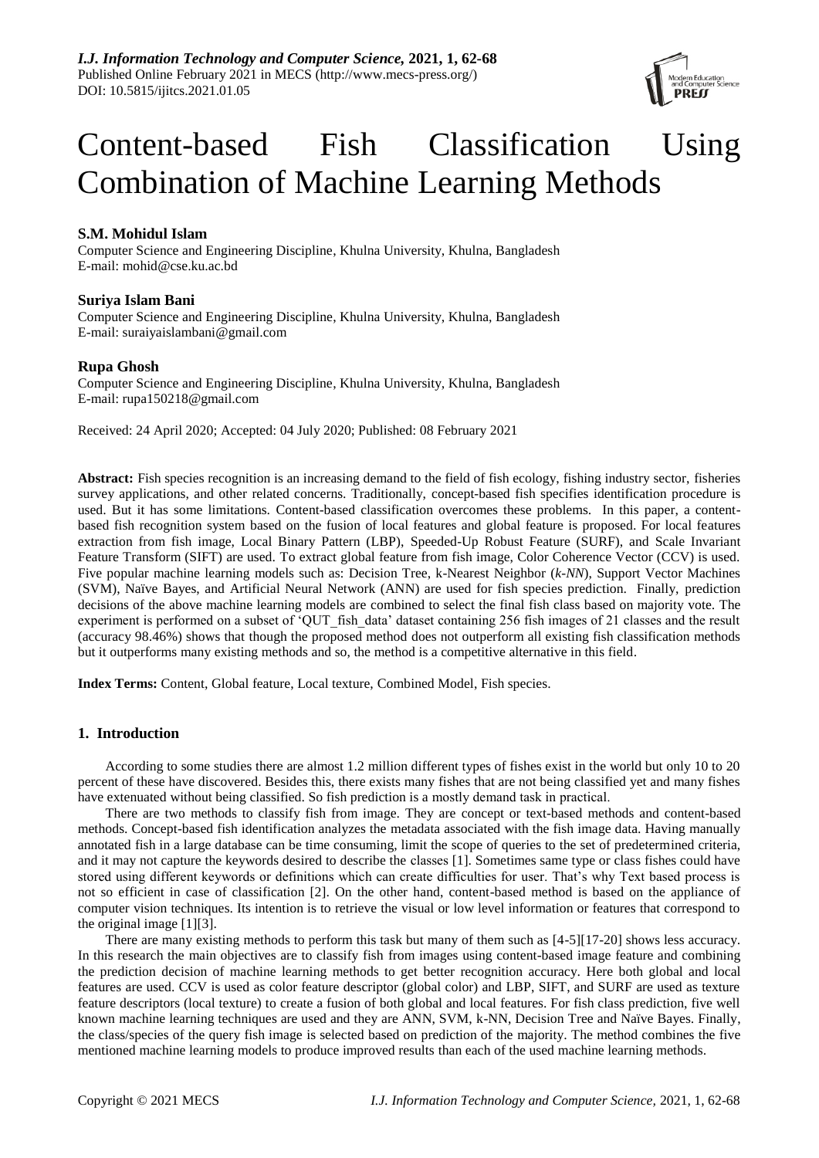

# Content-based Fish Classification Using Combination of Machine Learning Methods

# **S.M. Mohidul Islam**

Computer Science and Engineering Discipline, Khulna University, Khulna, Bangladesh E-mail: mohid@cse.ku.ac.bd

# **Suriya Islam Bani**

Computer Science and Engineering Discipline, Khulna University, Khulna, Bangladesh E-mail: suraiyaislambani@gmail.com

# **Rupa Ghosh**

Computer Science and Engineering Discipline, Khulna University, Khulna, Bangladesh E-mail: rupa150218@gmail.com

Received: 24 April 2020; Accepted: 04 July 2020; Published: 08 February 2021

**Abstract:** Fish species recognition is an increasing demand to the field of fish ecology, fishing industry sector, fisheries survey applications, and other related concerns. Traditionally, concept-based fish specifies identification procedure is used. But it has some limitations. Content-based classification overcomes these problems. In this paper, a contentbased fish recognition system based on the fusion of local features and global feature is proposed. For local features extraction from fish image, Local Binary Pattern (LBP), Speeded-Up Robust Feature (SURF), and Scale Invariant Feature Transform (SIFT) are used. To extract global feature from fish image, Color Coherence Vector (CCV) is used. Five popular machine learning models such as: Decision Tree, k-Nearest Neighbor (*k-NN*), Support Vector Machines (SVM), Naïve Bayes, and Artificial Neural Network (ANN) are used for fish species prediction. Finally, prediction decisions of the above machine learning models are combined to select the final fish class based on majority vote. The experiment is performed on a subset of 'QUT' fish data' dataset containing 256 fish images of 21 classes and the result (accuracy 98.46%) shows that though the proposed method does not outperform all existing fish classification methods but it outperforms many existing methods and so, the method is a competitive alternative in this field.

**Index Terms:** Content, Global feature, Local texture, Combined Model, Fish species.

# **1. Introduction**

According to some studies there are almost 1.2 million different types of fishes exist in the world but only 10 to 20 percent of these have discovered. Besides this, there exists many fishes that are not being classified yet and many fishes have extenuated without being classified. So fish prediction is a mostly demand task in practical.

There are two methods to classify fish from image. They are concept or text-based methods and content-based methods. Concept-based fish identification analyzes the [metadata](https://en.wikipedia.org/wiki/Metadata_(computing)) associated with the fish image data. Having manually annotated fish in a large database can be time consuming, limit the scope of queries to the set of predetermined criteria, and it may not capture the keywords desired to describe the classes [1]. Sometimes same type or class fishes could have stored using different keywords or definitions which can create difficulties for user. That's why Text based process is not so efficient in case of classification [2]. On the other hand, content-based method is based on the appliance of computer vision techniques. Its intention is to retrieve the visual or low level information or features that correspond to the original image [1][3].

There are many existing methods to perform this task but many of them such as [4-5][17-20] shows less accuracy. In this research the main objectives are to classify fish from images using content-based image feature and combining the prediction decision of machine learning methods to get better recognition accuracy. Here both global and local features are used. CCV is used as color feature descriptor (global color) and LBP, SIFT, and SURF are used as texture feature descriptors (local texture) to create a fusion of both global and local features. For fish class prediction, five well known machine learning techniques are used and they are ANN, SVM, k-NN, Decision Tree and Na ïve Bayes. Finally, the class/species of the query fish image is selected based on prediction of the majority. The method combines the five mentioned machine learning models to produce improved results than each of the used machine learning methods.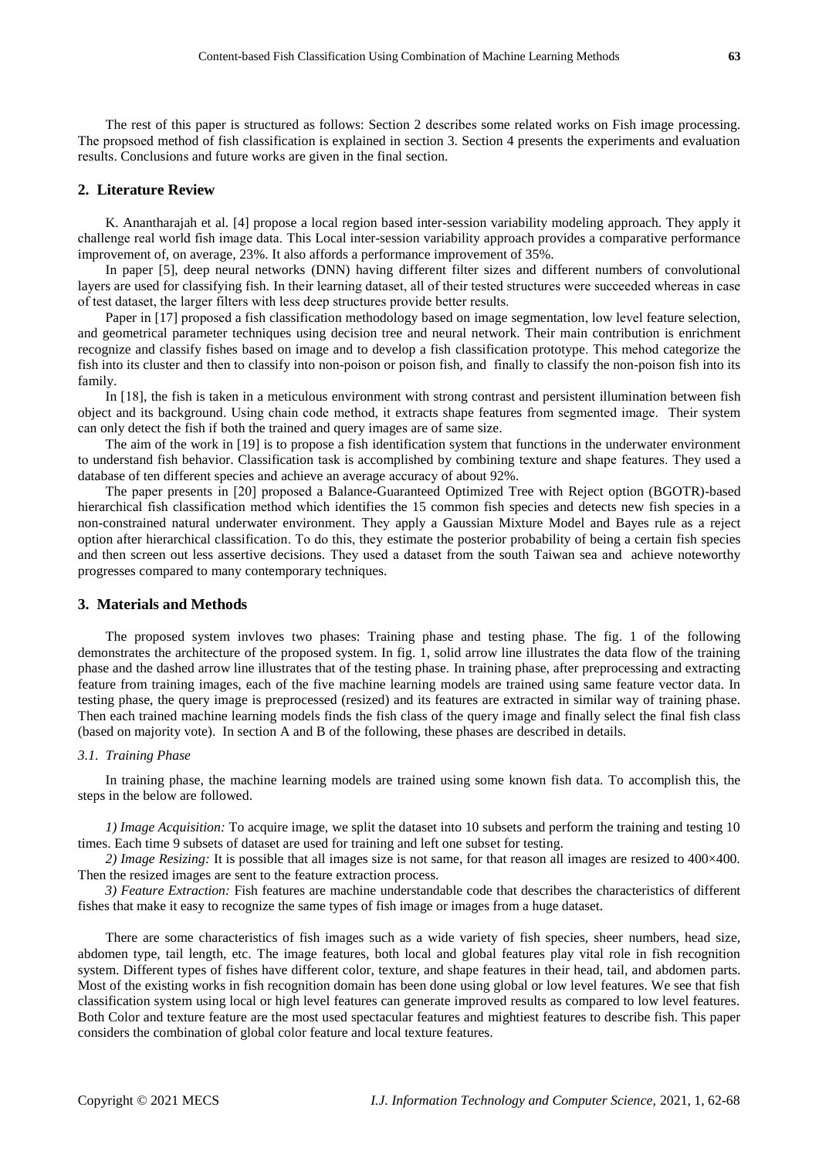The rest of this paper is structured as follows: Section 2 describes some related works on Fish image processing. The propsoed method of fish classification is explained in section 3. Section 4 presents the experiments and evaluation results. Conclusions and future works are given in the final section.

## **2. Literature Review**

K. Anantharajah et al. [4] propose a local region based inter-session variability modeling approach. They apply it challenge real world fish image data. This Local inter-session variability approach provides a comparative performance improvement of, on average, 23%. It also affords a performance improvement of 35%.

In paper [5], deep neural networks (DNN) having different filter sizes and different numbers of convolutional layers are used for classifying fish. In their learning dataset, all of their tested structures were succeeded whereas in case of test dataset, the larger filters with less deep structures provide better results.

Paper in [17] proposed a fish classification methodology based on image segmentation, low level feature selection, and geometrical parameter techniques using decision tree and neural network. Their main contribution is enrichment recognize and classify fishes based on image and to develop a fish classification prototype. This mehod categorize the fish into its cluster and then to classify into non-poison or poison fish, and finally to classify the non-poison fish into its family.

In [18], the fish is taken in a meticulous environment with strong contrast and persistent illumination between fish object and its background. Using chain code method, it extracts shape features from segmented image. Their system can only detect the fish if both the trained and query images are of same size.

The aim of the work in [19] is to propose a fish identification system that functions in the underwater environment to understand fish behavior. Classification task is accomplished by combining texture and shape features. They used a database of ten different species and achieve an average accuracy of about 92%.

The paper presents in [20] proposed a Balance-Guaranteed Optimized Tree with Reject option (BGOTR)-based hierarchical fish classification method which identifies the 15 common fish species and detects new fish species in a non-constrained natural underwater environment. They apply a Gaussian Mixture Model and Bayes rule as a reject option after hierarchical classification. To do this, they estimate the posterior probability of being a certain fish species and then screen out less assertive decisions. They used a dataset from the south Taiwan sea and achieve noteworthy progresses compared to many contemporary techniques.

### **3. Materials and Methods**

The proposed system invloves two phases: Training phase and testing phase. The fig. 1 of the following demonstrates the architecture of the proposed system. In fig. 1, solid arrow line illustrates the data flow of the training phase and the dashed arrow line illustrates that of the testing phase. In training phase, after preprocessing and extracting feature from training images, each of the five machine learning models are trained using same feature vector data. In testing phase, the query image is preprocessed (resized) and its features are extracted in similar way of training phase. Then each trained machine learning models finds the fish class of the query image and finally select the final fish class (based on majority vote). In section A and B of the following, these phases are described in details.

#### *3.1. Training Phase*

In training phase, the machine learning models are trained using some known fish data. To accomplish this, the steps in the below are followed.

*1) Image Acquisition:* To acquire image, we split the dataset into 10 subsets and perform the training and testing 10 times. Each time 9 subsets of dataset are used for training and left one subset for testing.

*2) Image Resizing:* It is possible that all images size is not same, for that reason all images are resized to 400×400. Then the resized images are sent to the feature extraction process.

*3) Feature Extraction:* Fish features are machine understandable code that describes the characteristics of different fishes that make it easy to recognize the same types of fish image or images from a huge dataset.

There are some characteristics of fish images such as a wide variety of fish species, sheer numbers, head size, abdomen type, tail length, etc. The image features, both local and global features play vital role in fish recognition system. Different types of fishes have different color, texture, and shape features in their head, tail, and abdomen parts. Most of the existing works in fish recognition domain has been done using global or low level features. We see that fish classification system using local or high level features can generate improved results as compared to low level features. Both Color and texture feature are the most used spectacular features and mightiest features to describe fish. This paper considers the combination of global color feature and local texture features.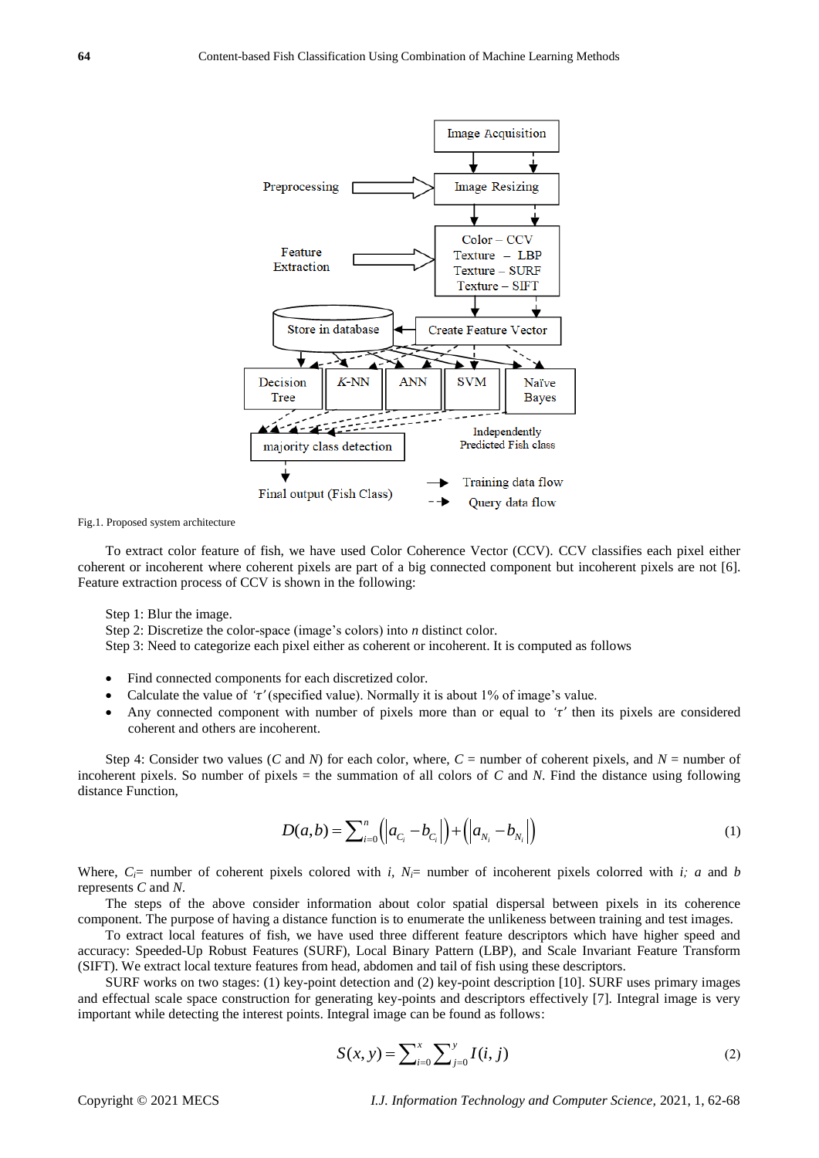

Fig.1. Proposed system architecture

To extract color feature of fish, we have used Color Coherence Vector (CCV). CCV classifies each pixel either coherent or incoherent where coherent pixels are part of a big connected component but incoherent pixels are not [6]. Feature extraction process of CCV is shown in the following:

Step 1: Blur the image.

Step 2: Discretize the color-space (image's colors) into *n* distinct color.

Step 3: Need to categorize each pixel either as coherent or incoherent. It is computed as follows

- Find connected components for each discretized color.
- Calculate the value of *'τ'* (specified value). Normally it is about 1% of image's value.
- Any connected component with number of pixels more than or equal to *'τ'* then its pixels are considered coherent and others are incoherent.

Step 4: Consider two values (*C* and *N*) for each color, where,  $C =$  number of coherent pixels, and  $N =$  number of incoherent pixels. So number of pixels = the summation of all colors of *C* and *N*. Find the distance using following distance Function,

$$
D(a,b) = \sum_{i=0}^{n} (|a_{C_i} - b_{C_i}|) + (|a_{N_i} - b_{N_i}|)
$$
 (1)

Where,  $C_i$ = number of coherent pixels colored with *i*,  $N_i$ = number of incoherent pixels colorred with *i*; *a* and *b* represents *C* and *N*.

The steps of the above consider information about color spatial dispersal between pixels in its coherence component. The purpose of having a distance function is to enumerate the unlikeness between training and test images.

To extract local features of fish, we have used three different feature descriptors which have higher speed and accuracy: Speeded-Up Robust Features (SURF), Local Binary Pattern (LBP), and Scale Invariant Feature Transform (SIFT). We extract local texture features from head, abdomen and tail of fish using these descriptors.

SURF works on two stages: (1) key-point detection and (2) key-point description [10]. SURF uses primary images and effectual scale space construction for generating key-points and descriptors effectively [7]. Integral image is very important while detecting the interest points. Integral image can be found as follows:

$$
S(x, y) = \sum_{i=0}^{x} \sum_{j=0}^{y} I(i, j)
$$
 (2)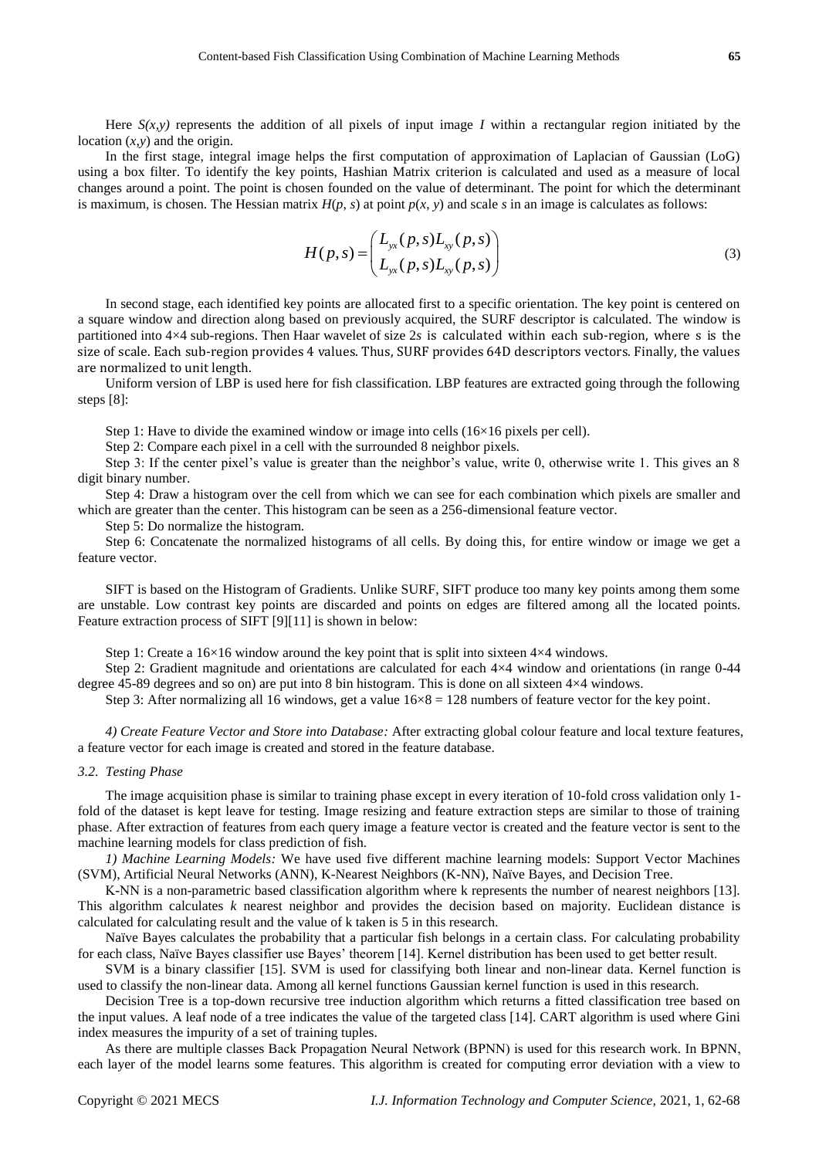Here  $S(x, y)$  represents the addition of all pixels of input image *I* within a rectangular region initiated by the location  $(x, y)$  and the origin.

In the first stage, integral image helps the first computation of approximation of Laplacian of Gaussian (LoG) using a box filter. To identify the key points, Hashian Matrix criterion is calculated and used as a measure of local changes around a point. The point is chosen founded on the value of determinant. The point for which the determinant is maximum, is chosen. The Hessian matrix  $H(p, s)$  at point  $p(x, y)$  and scale  $s$  in an image is calculates as follows:

$$
H(p,s) = \begin{pmatrix} L_{yx}(p,s)L_{xy}(p,s) \\ L_{yx}(p,s)L_{xy}(p,s) \end{pmatrix}
$$
 (3)

In second stage, each identified key points are allocated first to a specific orientation. The key point is centered on a square window and direction along based on previously acquired, the SURF descriptor is calculated. The window is partitioned into 4×4 sub-regions. Then Haar wavelet of size 2*s* is calculated within each sub-region, where s is the size of scale. Each sub-region provides 4 values. Thus, SURF provides 64D descriptors vectors. Finally, the values are normalized to unit length.

Uniform version of LBP is used here for fish classification. LBP features are extracted going through the following steps [8]:

Step 1: Have to divide the examined window or image into cells  $(16\times16$  pixels per cell).

Step 2: Compare each pixel in a cell with the surrounded 8 neighbor pixels.

Step 3: If the center pixel's value is greater than the neighbor's value, write 0, otherwise write 1. This gives an 8 digit binary number.

Step 4: Draw a histogram over the cell from which we can see for each combination which pixels are smaller and which are greater than the center. This histogram can be seen as a 256-dimensional feature vector.

Step 5: Do normalize the histogram.

Step 6: Concatenate the normalized histograms of all cells. By doing this, for entire window or image we get a feature vector.

SIFT is based on the Histogram of Gradients. Unlike SURF, SIFT produce too many key points among them some are unstable. Low contrast key points are discarded and points on edges are filtered among all the located points. Feature extraction process of SIFT [9][11] is shown in below:

Step 1: Create a  $16\times16$  window around the key point that is split into sixteen  $4\times4$  windows.

Step 2: Gradient magnitude and orientations are calculated for each 4×4 window and orientations (in range 0-44 degree 45-89 degrees and so on) are put into 8 bin histogram. This is done on all sixteen 4×4 windows.

Step 3: After normalizing all 16 windows, get a value  $16 \times 8 = 128$  numbers of feature vector for the key point.

*4) Create Feature Vector and Store into Database:* After extracting global colour feature and local texture features, a feature vector for each image is created and stored in the feature database.

## *3.2. Testing Phase*

The image acquisition phase is similar to training phase except in every iteration of 10-fold cross validation only 1 fold of the dataset is kept leave for testing. Image resizing and feature extraction steps are similar to those of training phase. After extraction of features from each query image a feature vector is created and the feature vector is sent to the machine learning models for class prediction of fish.

*1) Machine Learning Models:* We have used five different machine learning models: Support Vector Machines (SVM), Artificial Neural Networks (ANN), K-Nearest Neighbors (K-NN), Naïve Bayes, and Decision Tree.

K-NN is a non-parametric based classification algorithm where k represents the number of nearest neighbors [13]. This algorithm calculates *k* nearest neighbor and provides the decision based on majority. Euclidean distance is calculated for calculating result and the value of k taken is 5 in this research.

Naïve Bayes calculates the probability that a particular fish belongs in a certain class. For calculating probability for each class, Naïve Bayes classifier use Bayes' theorem [14]. Kernel distribution has been used to get better result.

SVM is a binary classifier [15]. SVM is used for classifying both linear and non-linear data. Kernel function is used to classify the non-linear data. Among all kernel functions Gaussian kernel function is used in this research.

Decision Tree is a top-down recursive tree induction algorithm which returns a fitted classification tree based on the input values. A leaf node of a tree indicates the value of the targeted class [14]. CART algorithm is used where Gini index measures the impurity of a set of training tuples.

As there are multiple classes Back Propagation Neural Network (BPNN) is used for this research work. In BPNN, each layer of the model learns some features. This algorithm is created for computing error deviation with a view to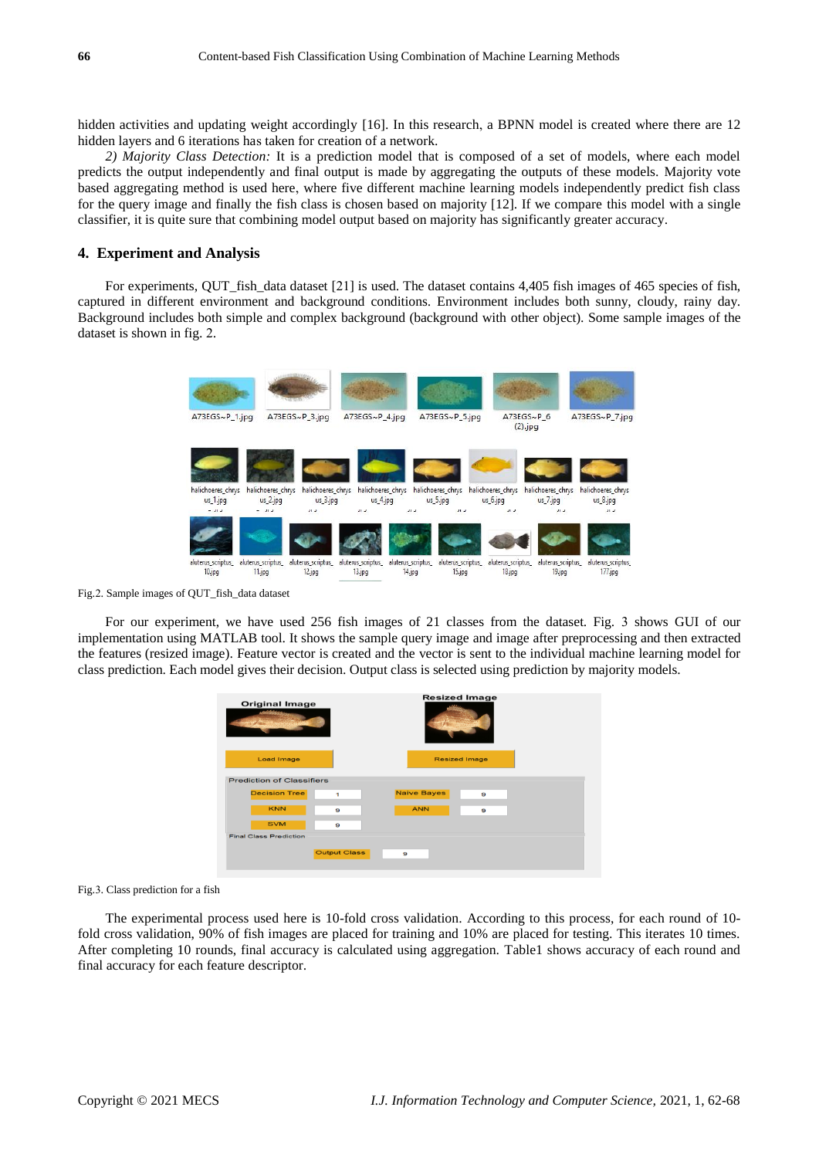hidden activities and updating weight accordingly [16]. In this research, a BPNN model is created where there are 12 hidden layers and 6 iterations has taken for creation of a network.

*2) Majority Class Detection:* It is a prediction model that is composed of a set of models, where each model predicts the output independently and final output is made by aggregating the outputs of these models. Majority vote based aggregating method is used here, where five different machine learning models independently predict fish class for the query image and finally the fish class is chosen based on majority [12]. If we compare this model with a single classifier, it is quite sure that combining model output based on majority has significantly greater accuracy.

## **4. Experiment and Analysis**

For experiments, QUT\_fish\_data dataset [21] is used. The dataset contains 4,405 fish images of 465 species of fish, captured in different environment and background conditions. Environment includes both sunny, cloudy, rainy day. Background includes both simple and complex background (background with other object). Some sample images of the dataset is shown in fig. 2.



Fig.2. Sample images of QUT\_fish\_data dataset

For our experiment, we have used 256 fish images of 21 classes from the dataset. Fig. 3 shows GUI of our implementation using MATLAB tool. It shows the sample query image and image after preprocessing and then extracted the features (resized image). Feature vector is created and the vector is sent to the individual machine learning model for class prediction. Each model gives their decision. Output class is selected using prediction by majority models.

| <b>Original Image</b>            |                       | <b>Resized Image</b>  |                      |  |  |
|----------------------------------|-----------------------|-----------------------|----------------------|--|--|
| <b>Load Image</b>                |                       |                       | <b>Resized Image</b> |  |  |
| <b>Prediction of Classifiers</b> |                       |                       |                      |  |  |
| <b>Decision Tree</b>             | 1                     | <b>Naive Bayes</b>    | 9                    |  |  |
| <b>KNN</b>                       | $\boldsymbol{\Theta}$ | <b>ANN</b>            | 9                    |  |  |
| <b>SVM</b>                       | $\mathbf{Q}$          |                       |                      |  |  |
| <b>Final Class Prediction</b>    |                       |                       |                      |  |  |
|                                  | <b>Output Class</b>   | $\boldsymbol{\Theta}$ |                      |  |  |

Fig.3. Class prediction for a fish

The experimental process used here is 10-fold cross validation. According to this process, for each round of 10 fold cross validation, 90% of fish images are placed for training and 10% are placed for testing. This iterates 10 times. After completing 10 rounds, final accuracy is calculated using aggregation. Table1 shows accuracy of each round and final accuracy for each feature descriptor.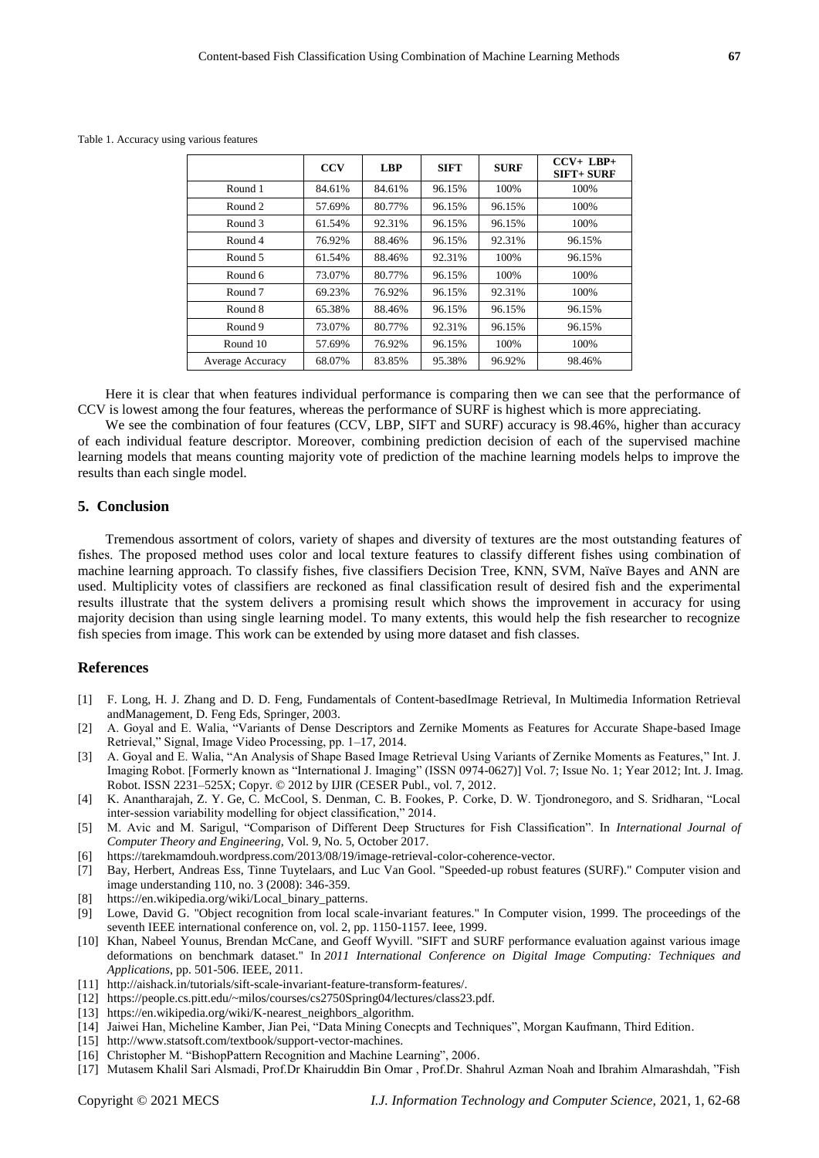|                  | <b>CCV</b> | <b>LBP</b> | <b>SIFT</b> | <b>SURF</b> | $CCV+ LBP+$<br>$SIFT + SUIRF$ |
|------------------|------------|------------|-------------|-------------|-------------------------------|
| Round 1          | 84.61%     | 84.61%     | 96.15%      | 100%        | 100%                          |
| Round 2          | 57.69%     | 80.77%     | 96.15%      | 96.15%      | 100%                          |
| Round 3          | 61.54%     | 92.31%     | 96.15%      | 96.15%      | 100%                          |
| Round 4          | 76.92%     | 88.46%     | 96.15%      | 92.31%      | 96.15%                        |
| Round 5          | 61.54%     | 88.46%     | 92.31%      | 100%        | 96.15%                        |
| Round 6          | 73.07%     | 80.77%     | 96.15%      | 100%        | 100%                          |
| Round 7          | 69.23%     | 76.92%     | 96.15%      | 92.31%      | 100%                          |
| Round 8          | 65.38%     | 88.46%     | 96.15%      | 96.15%      | 96.15%                        |
| Round 9          | 73.07%     | 80.77%     | 92.31%      | 96.15%      | 96.15%                        |
| Round 10         | 57.69%     | 76.92%     | 96.15%      | 100%        | 100%                          |
| Average Accuracy | 68.07%     | 83.85%     | 95.38%      | 96.92%      | 98.46%                        |

Table 1. Accuracy using various features

Here it is clear that when features individual performance is comparing then we can see that the performance of CCV is lowest among the four features, whereas the performance of SURF is highest which is more appreciating.

We see the combination of four features (CCV, LBP, SIFT and SURF) accuracy is 98.46%, higher than accuracy of each individual feature descriptor. Moreover, combining prediction decision of each of the supervised machine learning models that means counting majority vote of prediction of the machine learning models helps to improve the results than each single model.

## **5. Conclusion**

Tremendous assortment of colors, variety of shapes and diversity of textures are the most outstanding features of fishes. The proposed method uses color and local texture features to classify different fishes using combination of machine learning approach. To classify fishes, five classifiers Decision Tree, KNN, SVM, Na we Bayes and ANN are used. Multiplicity votes of classifiers are reckoned as final classification result of desired fish and the experimental results illustrate that the system delivers a promising result which shows the improvement in accuracy for using majority decision than using single learning model. To many extents, this would help the fish researcher to recognize fish species from image. This work can be extended by using more dataset and fish classes.

## **References**

- [1] F. Long, H. J. Zhang and D. D. Feng, Fundamentals of Content-basedImage Retrieval*,* In Multimedia Information Retrieval andManagement, D. Feng Eds, Springer, 2003.
- [2] A. Goyal and E. Walia, "Variants of Dense Descriptors and Zernike Moments as Features for Accurate Shape-based Image Retrieval," Signal, Image Video Processing, pp. 1–17, 2014.
- [3] A. Goyal and E. Walia, "An Analysis of Shape Based Image Retrieval Using Variants of Zernike Moments as Features," Int. J. Imaging Robot. [Formerly known as "International J. Imaging" (ISSN 0974-0627)] Vol. 7; Issue No. 1; Year 2012; Int. J. Imag. Robot. ISSN 2231–525X; Copyr. © 2012 by IJIR (CESER Publ., vol. 7, 2012.
- [4] K. Anantharajah, Z. Y. Ge, C. McCool, S. Denman, C. B. Fookes, P. Corke, D. W. Tjondronegoro, and S. Sridharan, "Local inter-session variability modelling for object classification," 2014.
- [5] M. Avic and M. Sarigul, "Comparison of Different Deep Structures for Fish Classification". In *International Journal of Computer Theory and Engineering,* Vol. 9, No. 5, October 2017.
- [6] [https://tarekmamdouh.wordpress.com/2013/08/19/image-retrieval-color-coherence-vector.](https://tarekmamdouh.wordpress.com/2013/08/19/image-retrieval-color-coherence-)
- [7] Bay, Herbert, Andreas Ess, Tinne Tuytelaars, and Luc Van Gool. "Speeded-up robust features (SURF)." Computer vision and image understanding 110, no. 3 (2008): 346-359.
- [8] [https://en.wikipedia.org/wiki/Local\\_binary\\_patterns.](https://en.wikipedia.org/wiki/Local_binary_patterns)
- [9] Lowe, David G. "Object recognition from local scale-invariant features." In Computer vision, 1999. The proceedings of the seventh IEEE international conference on, vol. 2, pp. 1150-1157. Ieee, 1999.
- [10] Khan, Nabeel Younus, Brendan McCane, and Geoff Wyvill. "SIFT and SURF performance evaluation against various image deformations on benchmark dataset." In *2011 International Conference on Digital Image Computing: Techniques and Applications*, pp. 501-506. IEEE, 2011.
- [11] http://aishack.in/tutorials/sift-scale-invariant-feature-transform-features/.
- [12] <https://people.cs.pitt.edu/~milos/courses/cs2750Spring04/lectures/class23.pdf>*.*
- [13] https://en.wikipedia.org/wiki/K-nearest\_neighbors\_algorithm.
- [14] Jaiwei Han, Micheline Kamber, Jian Pei, "Data Mining Conecpts and Techniques", Morgan Kaufmann, Third Edition.
- [15] http://www.statsoft.com/textbook/support-vector-machines.
- [16] Christopher M. "BishopPattern Recognition and Machine Learning", 2006.
- [17] Mutasem Khalil Sari Alsmadi, Prof.Dr Khairuddin Bin Omar , Prof.Dr. Shahrul Azman Noah and Ibrahim Almarashdah, "Fish